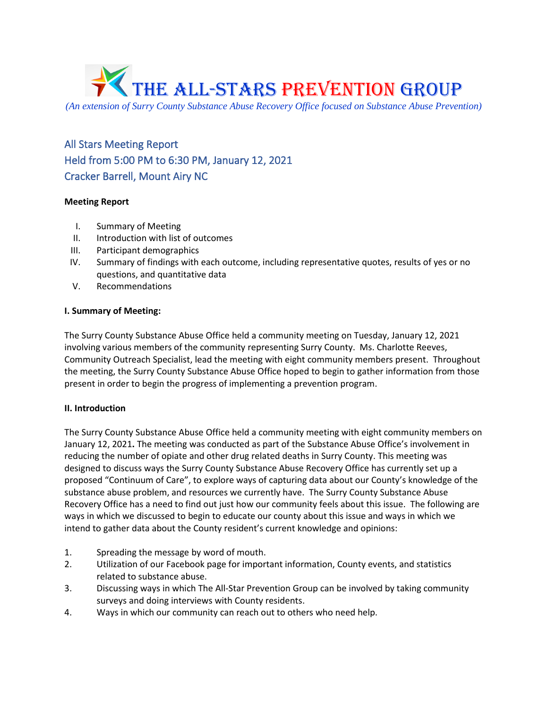

*(An extension of Surry County Substance Abuse Recovery Office focused on Substance Abuse Prevention)*

All Stars Meeting Report Held from 5:00 PM to 6:30 PM, January 12, 2021 Cracker Barrell, Mount Airy NC

## **Meeting Report**

- I. Summary of Meeting
- II. Introduction with list of outcomes
- III. Participant demographics
- IV. Summary of findings with each outcome, including representative quotes, results of yes or no questions, and quantitative data
- V. Recommendations

### **I. Summary of Meeting:**

The Surry County Substance Abuse Office held a community meeting on Tuesday, January 12, 2021 involving various members of the community representing Surry County. Ms. Charlotte Reeves, Community Outreach Specialist, lead the meeting with eight community members present. Throughout the meeting, the Surry County Substance Abuse Office hoped to begin to gather information from those present in order to begin the progress of implementing a prevention program.

## **II. Introduction**

The Surry County Substance Abuse Office held a community meeting with eight community members on January 12, 2021**.** The meeting was conducted as part of the Substance Abuse Office's involvement in reducing the number of opiate and other drug related deaths in Surry County. This meeting was designed to discuss ways the Surry County Substance Abuse Recovery Office has currently set up a proposed "Continuum of Care", to explore ways of capturing data about our County's knowledge of the substance abuse problem, and resources we currently have. The Surry County Substance Abuse Recovery Office has a need to find out just how our community feels about this issue. The following are ways in which we discussed to begin to educate our county about this issue and ways in which we intend to gather data about the County resident's current knowledge and opinions:

- 1. Spreading the message by word of mouth.
- 2. Utilization of our Facebook page for important information, County events, and statistics related to substance abuse.
- 3. Discussing ways in which The All-Star Prevention Group can be involved by taking community surveys and doing interviews with County residents.
- 4. Ways in which our community can reach out to others who need help.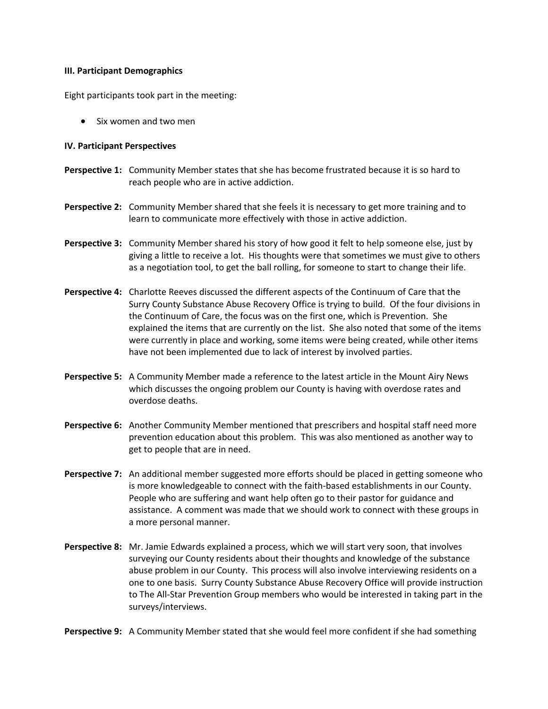#### **III. Participant Demographics**

Eight participants took part in the meeting:

• Six women and two men

### **IV. Participant Perspectives**

- **Perspective 1:** Community Member states that she has become frustrated because it is so hard to reach people who are in active addiction.
- **Perspective 2:** Community Member shared that she feels it is necessary to get more training and to learn to communicate more effectively with those in active addiction.
- **Perspective 3:** Community Member shared his story of how good it felt to help someone else, just by giving a little to receive a lot. His thoughts were that sometimes we must give to others as a negotiation tool, to get the ball rolling, for someone to start to change their life.
- **Perspective 4:** Charlotte Reeves discussed the different aspects of the Continuum of Care that the Surry County Substance Abuse Recovery Office is trying to build. Of the four divisions in the Continuum of Care, the focus was on the first one, which is Prevention. She explained the items that are currently on the list. She also noted that some of the items were currently in place and working, some items were being created, while other items have not been implemented due to lack of interest by involved parties.
- **Perspective 5:** A Community Member made a reference to the latest article in the Mount Airy News which discusses the ongoing problem our County is having with overdose rates and overdose deaths.
- **Perspective 6:** Another Community Member mentioned that prescribers and hospital staff need more prevention education about this problem. This was also mentioned as another way to get to people that are in need.
- **Perspective 7:** An additional member suggested more efforts should be placed in getting someone who is more knowledgeable to connect with the faith-based establishments in our County. People who are suffering and want help often go to their pastor for guidance and assistance. A comment was made that we should work to connect with these groups in a more personal manner.
- **Perspective 8:** Mr. Jamie Edwards explained a process, which we will start very soon, that involves surveying our County residents about their thoughts and knowledge of the substance abuse problem in our County. This process will also involve interviewing residents on a one to one basis. Surry County Substance Abuse Recovery Office will provide instruction to The All-Star Prevention Group members who would be interested in taking part in the surveys/interviews.

**Perspective 9:** A Community Member stated that she would feel more confident if she had something